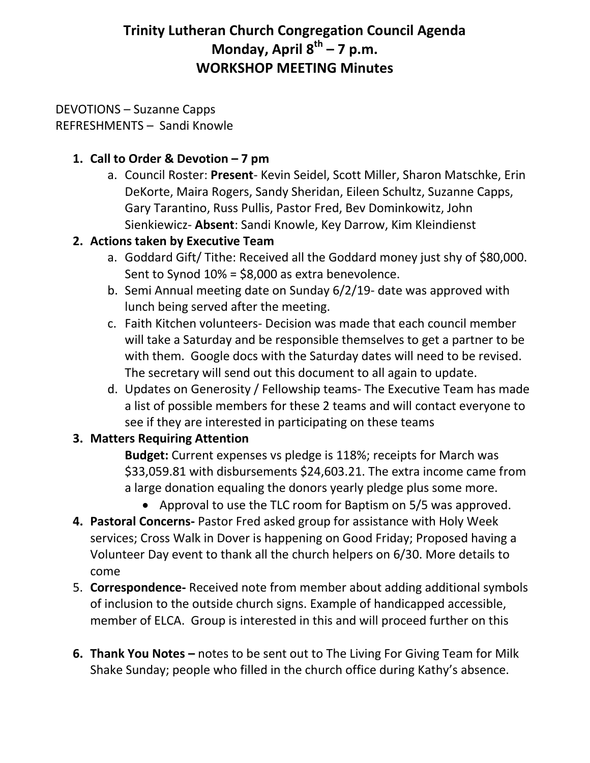# **Trinity Lutheran Church Congregation Council Agenda Monday, April 8th – 7 p.m. WORKSHOP MEETING Minutes**

#### DEVOTIONS – Suzanne Capps REFRESHMENTS – Sandi Knowle

# **1. Call to Order & Devotion – 7 pm**

a. Council Roster: **Present**- Kevin Seidel, Scott Miller, Sharon Matschke, Erin DeKorte, Maira Rogers, Sandy Sheridan, Eileen Schultz, Suzanne Capps, Gary Tarantino, Russ Pullis, Pastor Fred, Bev Dominkowitz, John Sienkiewicz- **Absent**: Sandi Knowle, Key Darrow, Kim Kleindienst

### **2. Actions taken by Executive Team**

- a. Goddard Gift/ Tithe: Received all the Goddard money just shy of \$80,000. Sent to Synod 10% = \$8,000 as extra benevolence.
- b. Semi Annual meeting date on Sunday 6/2/19- date was approved with lunch being served after the meeting.
- c. Faith Kitchen volunteers- Decision was made that each council member will take a Saturday and be responsible themselves to get a partner to be with them. Google docs with the Saturday dates will need to be revised. The secretary will send out this document to all again to update.
- d. Updates on Generosity / Fellowship teams- The Executive Team has made a list of possible members for these 2 teams and will contact everyone to see if they are interested in participating on these teams

# **3. Matters Requiring Attention**

**Budget:** Current expenses vs pledge is 118%; receipts for March was \$33,059.81 with disbursements \$24,603.21. The extra income came from a large donation equaling the donors yearly pledge plus some more.

- Approval to use the TLC room for Baptism on 5/5 was approved.
- **4. Pastoral Concerns-** Pastor Fred asked group for assistance with Holy Week services; Cross Walk in Dover is happening on Good Friday; Proposed having a Volunteer Day event to thank all the church helpers on 6/30. More details to come
- 5. **Correspondence-** Received note from member about adding additional symbols of inclusion to the outside church signs. Example of handicapped accessible, member of ELCA. Group is interested in this and will proceed further on this
- **6. Thank You Notes –** notes to be sent out to The Living For Giving Team for Milk Shake Sunday; people who filled in the church office during Kathy's absence.